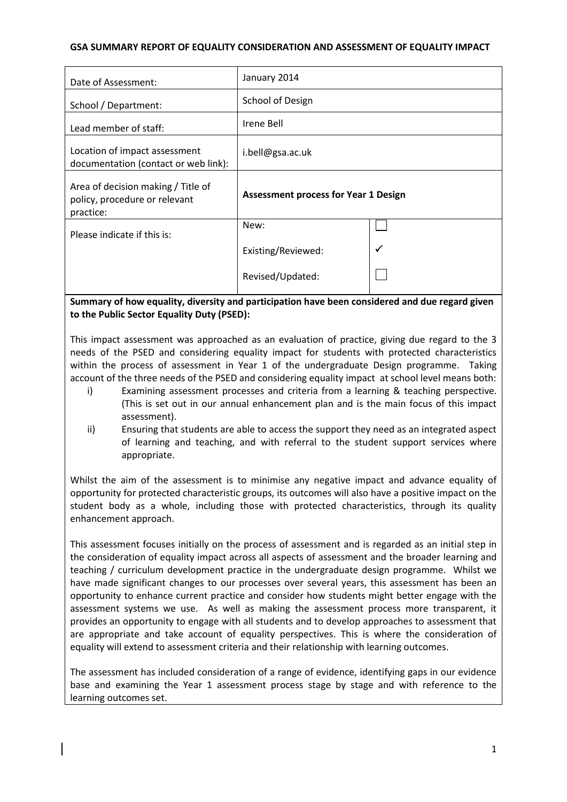## **GSA SUMMARY REPORT OF EQUALITY CONSIDERATION AND ASSESSMENT OF EQUALITY IMPACT**

| Date of Assessment:                                                              | January 2014                                |  |
|----------------------------------------------------------------------------------|---------------------------------------------|--|
| School / Department:                                                             | School of Design                            |  |
| Lead member of staff:                                                            | Irene Bell                                  |  |
| Location of impact assessment<br>documentation (contact or web link):            | i.bell@gsa.ac.uk                            |  |
| Area of decision making / Title of<br>policy, procedure or relevant<br>practice: | <b>Assessment process for Year 1 Design</b> |  |
| Please indicate if this is:                                                      | New:                                        |  |
|                                                                                  | Existing/Reviewed:                          |  |
|                                                                                  | Revised/Updated:                            |  |

# **Summary of how equality, diversity and participation have been considered and due regard given to the Public Sector Equality Duty (PSED):**

This impact assessment was approached as an evaluation of practice, giving due regard to the 3 needs of the PSED and considering equality impact for students with protected characteristics within the process of assessment in Year 1 of the undergraduate Design programme. Taking account of the three needs of the PSED and considering equality impact at school level means both:

- i) Examining assessment processes and criteria from a learning & teaching perspective. (This is set out in our annual enhancement plan and is the main focus of this impact assessment).
- ii) Ensuring that students are able to access the support they need as an integrated aspect of learning and teaching, and with referral to the student support services where appropriate.

Whilst the aim of the assessment is to minimise any negative impact and advance equality of opportunity for protected characteristic groups, its outcomes will also have a positive impact on the student body as a whole, including those with protected characteristics, through its quality enhancement approach.

This assessment focuses initially on the process of assessment and is regarded as an initial step in the consideration of equality impact across all aspects of assessment and the broader learning and teaching / curriculum development practice in the undergraduate design programme. Whilst we have made significant changes to our processes over several years, this assessment has been an opportunity to enhance current practice and consider how students might better engage with the assessment systems we use. As well as making the assessment process more transparent, it provides an opportunity to engage with all students and to develop approaches to assessment that are appropriate and take account of equality perspectives. This is where the consideration of equality will extend to assessment criteria and their relationship with learning outcomes.

The assessment has included consideration of a range of evidence, identifying gaps in our evidence base and examining the Year 1 assessment process stage by stage and with reference to the learning outcomes set.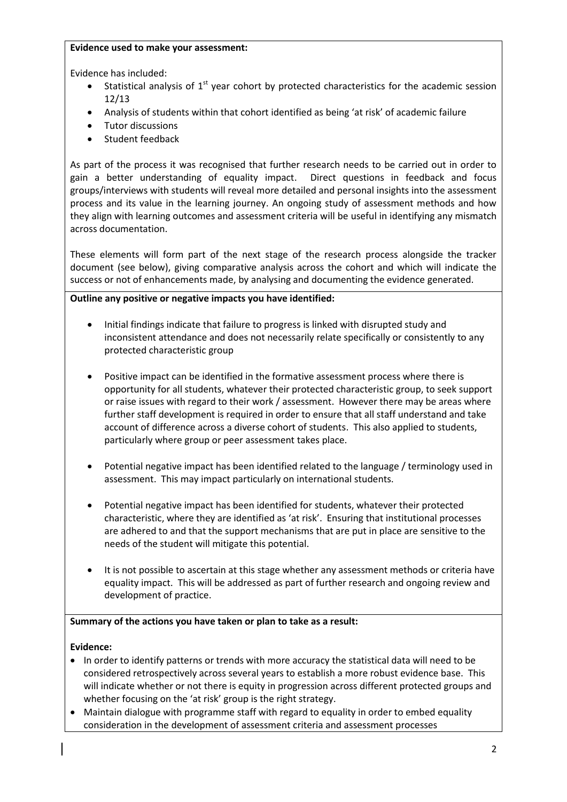#### **Evidence used to make your assessment:**

Evidence has included:

- Statistical analysis of  $1<sup>st</sup>$  year cohort by protected characteristics for the academic session 12/13
- Analysis of students within that cohort identified as being 'at risk' of academic failure
- Tutor discussions
- Student feedback

As part of the process it was recognised that further research needs to be carried out in order to gain a better understanding of equality impact. Direct questions in feedback and focus groups/interviews with students will reveal more detailed and personal insights into the assessment process and its value in the learning journey. An ongoing study of assessment methods and how they align with learning outcomes and assessment criteria will be useful in identifying any mismatch across documentation.

These elements will form part of the next stage of the research process alongside the tracker document (see below), giving comparative analysis across the cohort and which will indicate the success or not of enhancements made, by analysing and documenting the evidence generated.

# **Outline any positive or negative impacts you have identified:**

- Initial findings indicate that failure to progress is linked with disrupted study and inconsistent attendance and does not necessarily relate specifically or consistently to any protected characteristic group
- Positive impact can be identified in the formative assessment process where there is opportunity for all students, whatever their protected characteristic group, to seek support or raise issues with regard to their work / assessment. However there may be areas where further staff development is required in order to ensure that all staff understand and take account of difference across a diverse cohort of students. This also applied to students, particularly where group or peer assessment takes place.
- Potential negative impact has been identified related to the language / terminology used in assessment. This may impact particularly on international students.
- Potential negative impact has been identified for students, whatever their protected characteristic, where they are identified as 'at risk'. Ensuring that institutional processes are adhered to and that the support mechanisms that are put in place are sensitive to the needs of the student will mitigate this potential.
- It is not possible to ascertain at this stage whether any assessment methods or criteria have equality impact. This will be addressed as part of further research and ongoing review and development of practice.

# **Summary of the actions you have taken or plan to take as a result:**

# **Evidence:**

- In order to identify patterns or trends with more accuracy the statistical data will need to be considered retrospectively across several years to establish a more robust evidence base. This will indicate whether or not there is equity in progression across different protected groups and whether focusing on the 'at risk' group is the right strategy.
- Maintain dialogue with programme staff with regard to equality in order to embed equality consideration in the development of assessment criteria and assessment processes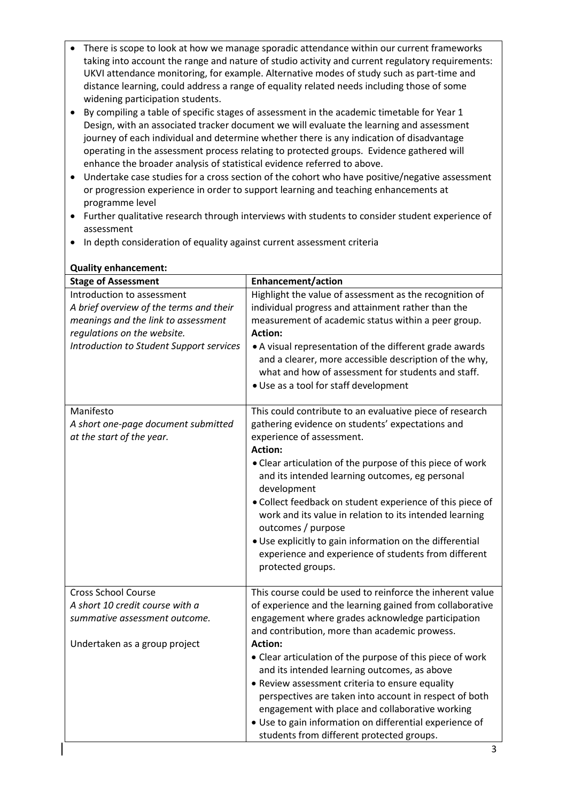- There is scope to look at how we manage sporadic attendance within our current frameworks taking into account the range and nature of studio activity and current regulatory requirements: UKVI attendance monitoring, for example. Alternative modes of study such as part-time and distance learning, could address a range of equality related needs including those of some widening participation students.
- By compiling a table of specific stages of assessment in the academic timetable for Year 1 Design, with an associated tracker document we will evaluate the learning and assessment journey of each individual and determine whether there is any indication of disadvantage operating in the assessment process relating to protected groups. Evidence gathered will enhance the broader analysis of statistical evidence referred to above.
- Undertake case studies for a cross section of the cohort who have positive/negative assessment or progression experience in order to support learning and teaching enhancements at programme level
- Further qualitative research through interviews with students to consider student experience of assessment
- In depth consideration of equality against current assessment criteria

| <b>Stage of Assessment</b>                                                    | <b>Enhancement/action</b>                                                                                                                                                                                                                                                                                                            |
|-------------------------------------------------------------------------------|--------------------------------------------------------------------------------------------------------------------------------------------------------------------------------------------------------------------------------------------------------------------------------------------------------------------------------------|
| Introduction to assessment<br>A brief overview of the terms and their         | Highlight the value of assessment as the recognition of<br>individual progress and attainment rather than the                                                                                                                                                                                                                        |
| meanings and the link to assessment                                           | measurement of academic status within a peer group.                                                                                                                                                                                                                                                                                  |
| regulations on the website.                                                   | <b>Action:</b>                                                                                                                                                                                                                                                                                                                       |
| Introduction to Student Support services                                      | • A visual representation of the different grade awards<br>and a clearer, more accessible description of the why,<br>what and how of assessment for students and staff.<br>· Use as a tool for staff development                                                                                                                     |
| Manifesto<br>A short one-page document submitted<br>at the start of the year. | This could contribute to an evaluative piece of research<br>gathering evidence on students' expectations and<br>experience of assessment.<br><b>Action:</b>                                                                                                                                                                          |
|                                                                               | • Clear articulation of the purpose of this piece of work<br>and its intended learning outcomes, eg personal<br>development                                                                                                                                                                                                          |
|                                                                               | • Collect feedback on student experience of this piece of<br>work and its value in relation to its intended learning<br>outcomes / purpose                                                                                                                                                                                           |
|                                                                               | . Use explicitly to gain information on the differential<br>experience and experience of students from different<br>protected groups.                                                                                                                                                                                                |
| <b>Cross School Course</b>                                                    | This course could be used to reinforce the inherent value                                                                                                                                                                                                                                                                            |
| A short 10 credit course with a                                               | of experience and the learning gained from collaborative                                                                                                                                                                                                                                                                             |
| summative assessment outcome.                                                 | engagement where grades acknowledge participation<br>and contribution, more than academic prowess.                                                                                                                                                                                                                                   |
| Undertaken as a group project                                                 | <b>Action:</b>                                                                                                                                                                                                                                                                                                                       |
|                                                                               | • Clear articulation of the purpose of this piece of work<br>and its intended learning outcomes, as above<br>• Review assessment criteria to ensure equality<br>perspectives are taken into account in respect of both<br>engagement with place and collaborative working<br>· Use to gain information on differential experience of |
|                                                                               | students from different protected groups.                                                                                                                                                                                                                                                                                            |

# **Quality enhancement:**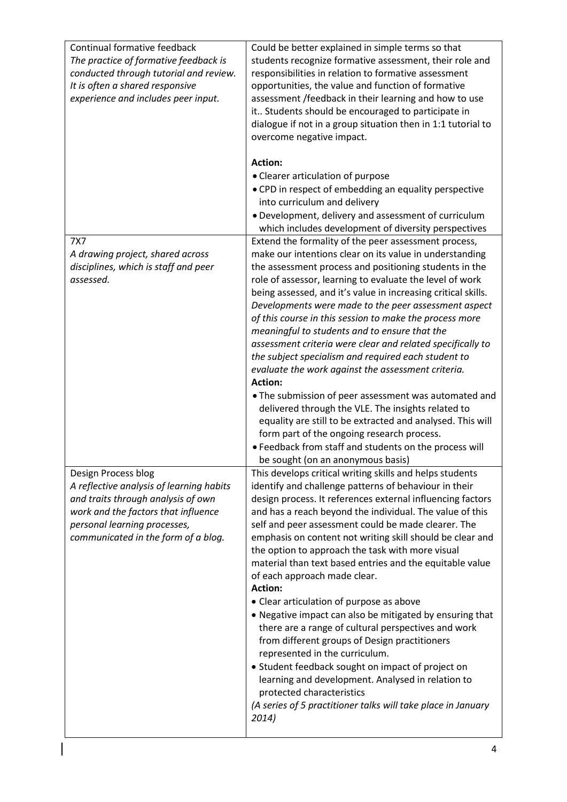| Continual formative feedback<br>The practice of formative feedback is<br>conducted through tutorial and review.<br>It is often a shared responsive<br>experience and includes peer input.                           | Could be better explained in simple terms so that<br>students recognize formative assessment, their role and<br>responsibilities in relation to formative assessment<br>opportunities, the value and function of formative<br>assessment /feedback in their learning and how to use<br>it Students should be encouraged to participate in<br>dialogue if not in a group situation then in 1:1 tutorial to<br>overcome negative impact.<br><b>Action:</b><br>• Clearer articulation of purpose<br>. CPD in respect of embedding an equality perspective<br>into curriculum and delivery                                                                                                                                                                                                                                                                                                                                                                                                              |
|---------------------------------------------------------------------------------------------------------------------------------------------------------------------------------------------------------------------|-----------------------------------------------------------------------------------------------------------------------------------------------------------------------------------------------------------------------------------------------------------------------------------------------------------------------------------------------------------------------------------------------------------------------------------------------------------------------------------------------------------------------------------------------------------------------------------------------------------------------------------------------------------------------------------------------------------------------------------------------------------------------------------------------------------------------------------------------------------------------------------------------------------------------------------------------------------------------------------------------------|
|                                                                                                                                                                                                                     | · Development, delivery and assessment of curriculum<br>which includes development of diversity perspectives                                                                                                                                                                                                                                                                                                                                                                                                                                                                                                                                                                                                                                                                                                                                                                                                                                                                                        |
| 7X7<br>A drawing project, shared across<br>disciplines, which is staff and peer<br>assessed.                                                                                                                        | Extend the formality of the peer assessment process,<br>make our intentions clear on its value in understanding<br>the assessment process and positioning students in the<br>role of assessor, learning to evaluate the level of work<br>being assessed, and it's value in increasing critical skills.<br>Developments were made to the peer assessment aspect<br>of this course in this session to make the process more<br>meaningful to students and to ensure that the<br>assessment criteria were clear and related specifically to<br>the subject specialism and required each student to<br>evaluate the work against the assessment criteria.<br><b>Action:</b><br>. The submission of peer assessment was automated and<br>delivered through the VLE. The insights related to<br>equality are still to be extracted and analysed. This will<br>form part of the ongoing research process.<br>• Feedback from staff and students on the process will<br>be sought (on an anonymous basis)   |
| Design Process blog<br>A reflective analysis of learning habits<br>and traits through analysis of own<br>work and the factors that influence<br>personal learning processes,<br>communicated in the form of a blog. | This develops critical writing skills and helps students<br>identify and challenge patterns of behaviour in their<br>design process. It references external influencing factors<br>and has a reach beyond the individual. The value of this<br>self and peer assessment could be made clearer. The<br>emphasis on content not writing skill should be clear and<br>the option to approach the task with more visual<br>material than text based entries and the equitable value<br>of each approach made clear.<br><b>Action:</b><br>• Clear articulation of purpose as above<br>. Negative impact can also be mitigated by ensuring that<br>there are a range of cultural perspectives and work<br>from different groups of Design practitioners<br>represented in the curriculum.<br>• Student feedback sought on impact of project on<br>learning and development. Analysed in relation to<br>protected characteristics<br>(A series of 5 practitioner talks will take place in January<br>2014) |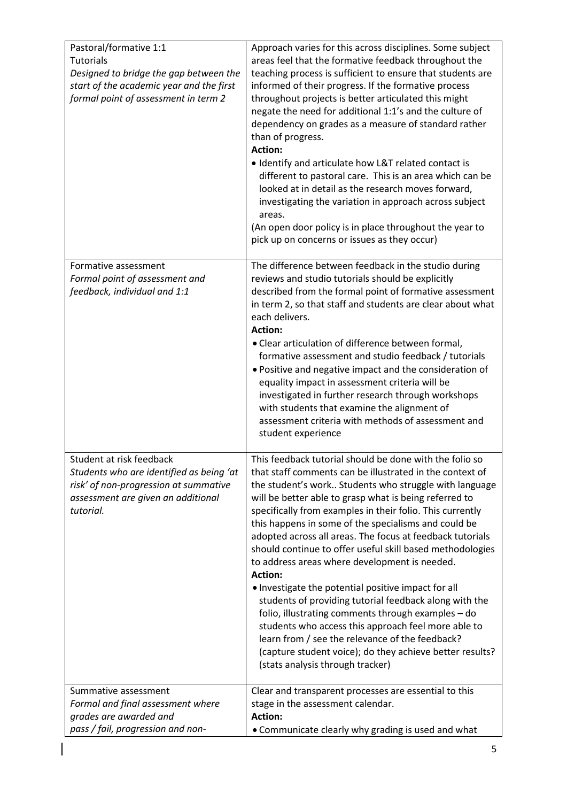| Pastoral/formative 1:1<br><b>Tutorials</b><br>Designed to bridge the gap between the<br>start of the academic year and the first<br>formal point of assessment in term 2 | Approach varies for this across disciplines. Some subject<br>areas feel that the formative feedback throughout the<br>teaching process is sufficient to ensure that students are<br>informed of their progress. If the formative process<br>throughout projects is better articulated this might<br>negate the need for additional 1:1's and the culture of<br>dependency on grades as a measure of standard rather<br>than of progress.<br><b>Action:</b><br>• Identify and articulate how L&T related contact is<br>different to pastoral care. This is an area which can be<br>looked at in detail as the research moves forward,<br>investigating the variation in approach across subject<br>areas.<br>(An open door policy is in place throughout the year to<br>pick up on concerns or issues as they occur)                                                                                                                        |
|--------------------------------------------------------------------------------------------------------------------------------------------------------------------------|--------------------------------------------------------------------------------------------------------------------------------------------------------------------------------------------------------------------------------------------------------------------------------------------------------------------------------------------------------------------------------------------------------------------------------------------------------------------------------------------------------------------------------------------------------------------------------------------------------------------------------------------------------------------------------------------------------------------------------------------------------------------------------------------------------------------------------------------------------------------------------------------------------------------------------------------|
| Formative assessment<br>Formal point of assessment and<br>feedback, individual and 1:1                                                                                   | The difference between feedback in the studio during<br>reviews and studio tutorials should be explicitly<br>described from the formal point of formative assessment<br>in term 2, so that staff and students are clear about what<br>each delivers.<br><b>Action:</b><br>• Clear articulation of difference between formal,<br>formative assessment and studio feedback / tutorials<br>. Positive and negative impact and the consideration of<br>equality impact in assessment criteria will be<br>investigated in further research through workshops<br>with students that examine the alignment of<br>assessment criteria with methods of assessment and<br>student experience                                                                                                                                                                                                                                                         |
| Student at risk feedback<br>Students who are identified as being 'at<br>risk' of non-progression at summative<br>assessment are given an additional<br>tutorial.         | This feedback tutorial should be done with the folio so<br>that staff comments can be illustrated in the context of<br>the student's work Students who struggle with language<br>will be better able to grasp what is being referred to<br>specifically from examples in their folio. This currently<br>this happens in some of the specialisms and could be<br>adopted across all areas. The focus at feedback tutorials<br>should continue to offer useful skill based methodologies<br>to address areas where development is needed.<br><b>Action:</b><br>. Investigate the potential positive impact for all<br>students of providing tutorial feedback along with the<br>folio, illustrating comments through examples - do<br>students who access this approach feel more able to<br>learn from / see the relevance of the feedback?<br>(capture student voice); do they achieve better results?<br>(stats analysis through tracker) |
| Summative assessment<br>Formal and final assessment where<br>grades are awarded and<br>pass / fail, progression and non-                                                 | Clear and transparent processes are essential to this<br>stage in the assessment calendar.<br><b>Action:</b><br>• Communicate clearly why grading is used and what                                                                                                                                                                                                                                                                                                                                                                                                                                                                                                                                                                                                                                                                                                                                                                         |

 $\overline{\phantom{a}}$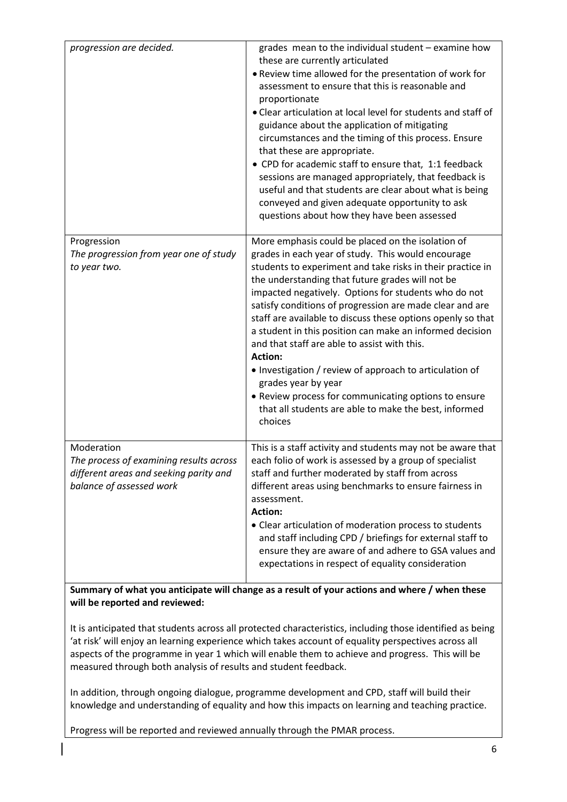| progression are decided.                                                                                                    | grades mean to the individual student - examine how<br>these are currently articulated<br>. Review time allowed for the presentation of work for<br>assessment to ensure that this is reasonable and<br>proportionate<br>. Clear articulation at local level for students and staff of<br>guidance about the application of mitigating<br>circumstances and the timing of this process. Ensure<br>that these are appropriate.<br>• CPD for academic staff to ensure that, 1:1 feedback<br>sessions are managed appropriately, that feedback is<br>useful and that students are clear about what is being<br>conveyed and given adequate opportunity to ask<br>questions about how they have been assessed                                                |
|-----------------------------------------------------------------------------------------------------------------------------|----------------------------------------------------------------------------------------------------------------------------------------------------------------------------------------------------------------------------------------------------------------------------------------------------------------------------------------------------------------------------------------------------------------------------------------------------------------------------------------------------------------------------------------------------------------------------------------------------------------------------------------------------------------------------------------------------------------------------------------------------------|
| Progression<br>The progression from year one of study<br>to year two.                                                       | More emphasis could be placed on the isolation of<br>grades in each year of study. This would encourage<br>students to experiment and take risks in their practice in<br>the understanding that future grades will not be<br>impacted negatively. Options for students who do not<br>satisfy conditions of progression are made clear and are<br>staff are available to discuss these options openly so that<br>a student in this position can make an informed decision<br>and that staff are able to assist with this.<br><b>Action:</b><br>• Investigation / review of approach to articulation of<br>grades year by year<br>• Review process for communicating options to ensure<br>that all students are able to make the best, informed<br>choices |
| Moderation<br>The process of examining results across<br>different areas and seeking parity and<br>balance of assessed work | This is a staff activity and students may not be aware that<br>each folio of work is assessed by a group of specialist<br>staff and further moderated by staff from across<br>different areas using benchmarks to ensure fairness in<br>assessment.<br><b>Action:</b><br>• Clear articulation of moderation process to students<br>and staff including CPD / briefings for external staff to<br>ensure they are aware of and adhere to GSA values and<br>expectations in respect of equality consideration                                                                                                                                                                                                                                               |

**Summary of what you anticipate will change as a result of your actions and where / when these will be reported and reviewed:**

It is anticipated that students across all protected characteristics, including those identified as being 'at risk' will enjoy an learning experience which takes account of equality perspectives across all aspects of the programme in year 1 which will enable them to achieve and progress. This will be measured through both analysis of results and student feedback.

In addition, through ongoing dialogue, programme development and CPD, staff will build their knowledge and understanding of equality and how this impacts on learning and teaching practice.

Progress will be reported and reviewed annually through the PMAR process.